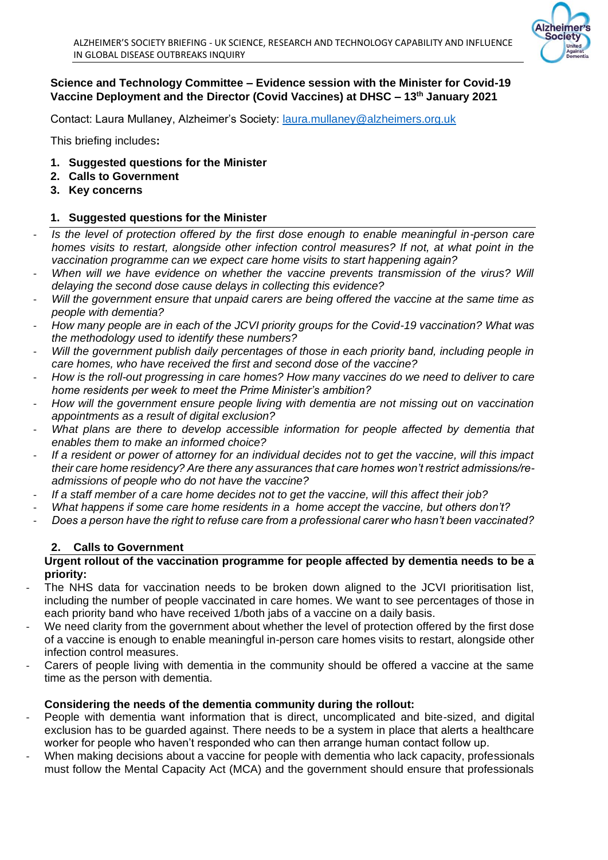

# **Science and Technology Committee – Evidence session with the Minister for Covid-19 Vaccine Deployment and the Director (Covid Vaccines) at DHSC – 13th January 2021**

Contact: Laura Mullaney, Alzheimer's Society: [laura.mullaney@alzheimers.org.uk](mailto:laura.mullaney@alzheimers.org.uk)

This briefing includes**:**

- **1. Suggested questions for the Minister**
- **2. Calls to Government**
- **3. Key concerns**

## **1. Suggested questions for the Minister**

- Is the level of protection offered by the first dose enough to enable meaningful in-person care *homes visits to restart, alongside other infection control measures? If not, at what point in the vaccination programme can we expect care home visits to start happening again?*
- *When will we have evidence on whether the vaccine prevents transmission of the virus? Will delaying the second dose cause delays in collecting this evidence?*
- *Will the government ensure that unpaid carers are being offered the vaccine at the same time as people with dementia?*
- *How many people are in each of the JCVI priority groups for the Covid-19 vaccination? What was the methodology used to identify these numbers?*
- Will the government publish daily percentages of those in each priority band, including people in *care homes, who have received the first and second dose of the vaccine?*
- *How is the roll-out progressing in care homes? How many vaccines do we need to deliver to care home residents per week to meet the Prime Minister's ambition?*
- *How will the government ensure people living with dementia are not missing out on vaccination appointments as a result of digital exclusion?*
- What plans are there to develop accessible information for people affected by dementia that *enables them to make an informed choice?*
- *If a resident or power of attorney for an individual decides not to get the vaccine, will this impact their care home residency? Are there any assurances that care homes won't restrict admissions/readmissions of people who do not have the vaccine?*
- *If a staff member of a care home decides not to get the vaccine, will this affect their job?*
- *What happens if some care home residents in a home accept the vaccine, but others don't?*
- *Does a person have the right to refuse care from a professional carer who hasn't been vaccinated?*

## **2. Calls to Government**

#### **Urgent rollout of the vaccination programme for people affected by dementia needs to be a priority:**

- The NHS data for vaccination needs to be broken down aligned to the JCVI prioritisation list, including the number of people vaccinated in care homes. We want to see percentages of those in each priority band who have received 1/both jabs of a vaccine on a daily basis.
- We need clarity from the government about whether the level of protection offered by the first dose of a vaccine is enough to enable meaningful in-person care homes visits to restart, alongside other infection control measures.
- Carers of people living with dementia in the community should be offered a vaccine at the same time as the person with dementia.

## **Considering the needs of the dementia community during the rollout:**

- People with dementia want information that is direct, uncomplicated and bite-sized, and digital exclusion has to be guarded against. There needs to be a system in place that alerts a healthcare worker for people who haven't responded who can then arrange human contact follow up.
- When making decisions about a vaccine for people with dementia who lack capacity, professionals must follow the Mental Capacity Act (MCA) and the government should ensure that professionals